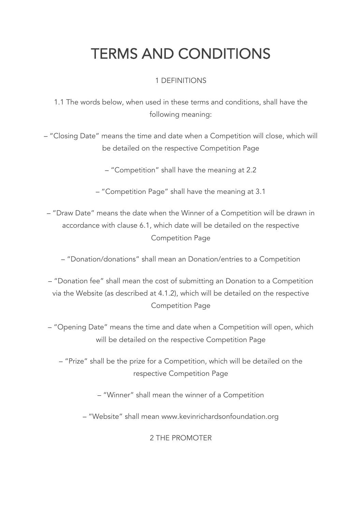# TERMS AND CONDITIONS

# 1 DEFINITIONS

1.1 The words below, when used in these terms and conditions, shall have the following meaning:

– "Closing Date" means the time and date when a Competition will close, which will be detailed on the respective Competition Page

– "Competition" shall have the meaning at 2.2

– "Competition Page" shall have the meaning at 3.1

– "Draw Date" means the date when the Winner of a Competition will be drawn in accordance with clause 6.1, which date will be detailed on the respective Competition Page

– "Donation/donations" shall mean an Donation/entries to a Competition

– "Donation fee" shall mean the cost of submitting an Donation to a Competition via the Website (as described at 4.1.2), which will be detailed on the respective Competition Page

– "Opening Date" means the time and date when a Competition will open, which will be detailed on the respective Competition Page

– "Prize" shall be the prize for a Competition, which will be detailed on the respective Competition Page

– "Winner" shall mean the winner of a Competition

– "Website" shall mean www.kevinrichardsonfoundation.org

2 THE PROMOTER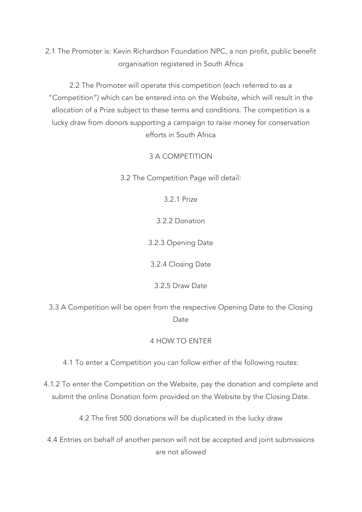2.1 The Promoter is: Kevin Richardson Foundation NPC, a non profit, public benefit organisation registered in South Africa

2.2 The Promoter will operate this competition (each referred to as a "Competition") which can be entered into on the Website, which will result in the allocation of a Prize subject to these terms and conditions. The competition is a lucky draw from donors supporting a campaign to raise money for conservation efforts in South Africa

3 A COMPETITION

3.2 The Competition Page will detail:

3.2.1 Prize

3.2.2 Donation

3.2.3 Opening Date

3.2.4 Closing Date

3.2.5 Draw Date

3.3 A Competition will be open from the respective Opening Date to the Closing Date

## 4 HOW TO ENTER

4.1 To enter a Competition you can follow either of the following routes:

4.1.2 To enter the Competition on the Website, pay the donation and complete and submit the online Donation form provided on the Website by the Closing Date.

4.2 The first 500 donations will be duplicated in the lucky draw

4.4 Entries on behalf of another person will not be accepted and joint submissions are not allowed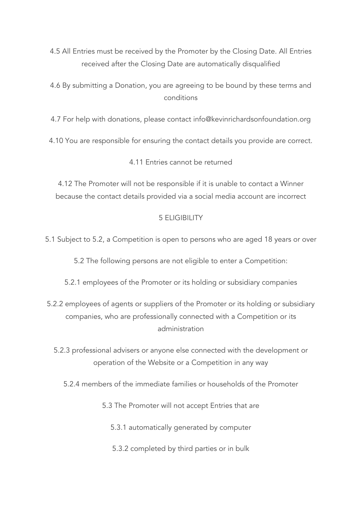4.5 All Entries must be received by the Promoter by the Closing Date. All Entries received after the Closing Date are automatically disqualified

4.6 By submitting a Donation, you are agreeing to be bound by these terms and conditions

4.7 For help with donations, please contact info@kevinrichardsonfoundation.org

4.10 You are responsible for ensuring the contact details you provide are correct.

4.11 Entries cannot be returned

4.12 The Promoter will not be responsible if it is unable to contact a Winner because the contact details provided via a social media account are incorrect

## 5 ELIGIBILITY

5.1 Subject to 5.2, a Competition is open to persons who are aged 18 years or over

5.2 The following persons are not eligible to enter a Competition:

5.2.1 employees of the Promoter or its holding or subsidiary companies

5.2.2 employees of agents or suppliers of the Promoter or its holding or subsidiary companies, who are professionally connected with a Competition or its administration

5.2.3 professional advisers or anyone else connected with the development or operation of the Website or a Competition in any way

5.2.4 members of the immediate families or households of the Promoter

5.3 The Promoter will not accept Entries that are

5.3.1 automatically generated by computer

5.3.2 completed by third parties or in bulk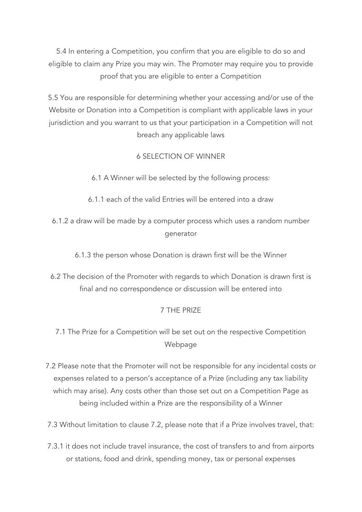5.4 In entering a Competition, you confirm that you are eligible to do so and eligible to claim any Prize you may win. The Promoter may require you to provide proof that you are eligible to enter a Competition

5.5 You are responsible for determining whether your accessing and/or use of the Website or Donation into a Competition is compliant with applicable laws in your jurisdiction and you warrant to us that your participation in a Competition will not breach any applicable laws

## 6 SELECTION OF WINNER

6.1 A Winner will be selected by the following process:

- 6.1.1 each of the valid Entries will be entered into a draw
- 6.1.2 a draw will be made by a computer process which uses a random number generator

6.1.3 the person whose Donation is drawn first will be the Winner

6.2 The decision of the Promoter with regards to which Donation is drawn first is final and no correspondence or discussion will be entered into

## 7 THE PRIZE

- 7.1 The Prize for a Competition will be set out on the respective Competition Webpage
- 7.2 Please note that the Promoter will not be responsible for any incidental costs or expenses related to a person's acceptance of a Prize (including any tax liability which may arise). Any costs other than those set out on a Competition Page as being included within a Prize are the responsibility of a Winner
- 7.3 Without limitation to clause 7.2, please note that if a Prize involves travel, that:
- 7.3.1 it does not include travel insurance, the cost of transfers to and from airports or stations, food and drink, spending money, tax or personal expenses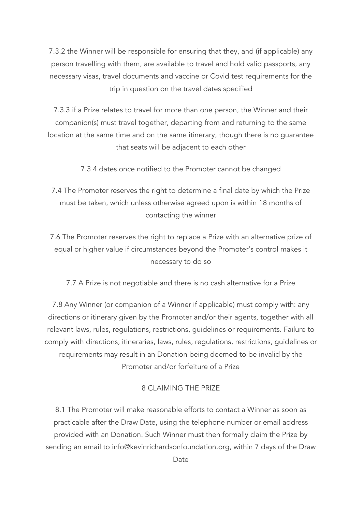7.3.2 the Winner will be responsible for ensuring that they, and (if applicable) any person travelling with them, are available to travel and hold valid passports, any necessary visas, travel documents and vaccine or Covid test requirements for the trip in question on the travel dates specified

7.3.3 if a Prize relates to travel for more than one person, the Winner and their companion(s) must travel together, departing from and returning to the same location at the same time and on the same itinerary, though there is no guarantee that seats will be adjacent to each other

7.3.4 dates once notified to the Promoter cannot be changed

7.4 The Promoter reserves the right to determine a final date by which the Prize must be taken, which unless otherwise agreed upon is within 18 months of contacting the winner

7.6 The Promoter reserves the right to replace a Prize with an alternative prize of equal or higher value if circumstances beyond the Promoter's control makes it necessary to do so

7.7 A Prize is not negotiable and there is no cash alternative for a Prize

7.8 Any Winner (or companion of a Winner if applicable) must comply with: any directions or itinerary given by the Promoter and/or their agents, together with all relevant laws, rules, regulations, restrictions, guidelines or requirements. Failure to comply with directions, itineraries, laws, rules, regulations, restrictions, guidelines or requirements may result in an Donation being deemed to be invalid by the Promoter and/or forfeiture of a Prize

#### 8 CLAIMING THE PRIZE

8.1 The Promoter will make reasonable efforts to contact a Winner as soon as practicable after the Draw Date, using the telephone number or email address provided with an Donation. Such Winner must then formally claim the Prize by sending an email to info@kevinrichardsonfoundation.org, within 7 days of the Draw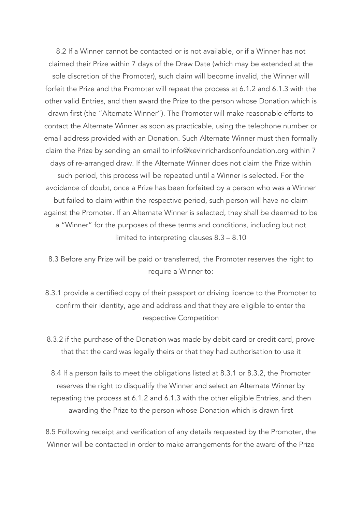8.2 If a Winner cannot be contacted or is not available, or if a Winner has not claimed their Prize within 7 days of the Draw Date (which may be extended at the sole discretion of the Promoter), such claim will become invalid, the Winner will forfeit the Prize and the Promoter will repeat the process at 6.1.2 and 6.1.3 with the other valid Entries, and then award the Prize to the person whose Donation which is drawn first (the "Alternate Winner"). The Promoter will make reasonable efforts to contact the Alternate Winner as soon as practicable, using the telephone number or email address provided with an Donation. Such Alternate Winner must then formally claim the Prize by sending an email to info@kevinrichardsonfoundation.org within 7 days of re-arranged draw. If the Alternate Winner does not claim the Prize within such period, this process will be repeated until a Winner is selected. For the avoidance of doubt, once a Prize has been forfeited by a person who was a Winner but failed to claim within the respective period, such person will have no claim against the Promoter. If an Alternate Winner is selected, they shall be deemed to be a "Winner" for the purposes of these terms and conditions, including but not limited to interpreting clauses 8.3 – 8.10

8.3 Before any Prize will be paid or transferred, the Promoter reserves the right to require a Winner to:

- 8.3.1 provide a certified copy of their passport or driving licence to the Promoter to confirm their identity, age and address and that they are eligible to enter the respective Competition
- 8.3.2 if the purchase of the Donation was made by debit card or credit card, prove that that the card was legally theirs or that they had authorisation to use it

8.4 If a person fails to meet the obligations listed at 8.3.1 or 8.3.2, the Promoter reserves the right to disqualify the Winner and select an Alternate Winner by repeating the process at 6.1.2 and 6.1.3 with the other eligible Entries, and then awarding the Prize to the person whose Donation which is drawn first

8.5 Following receipt and verification of any details requested by the Promoter, the Winner will be contacted in order to make arrangements for the award of the Prize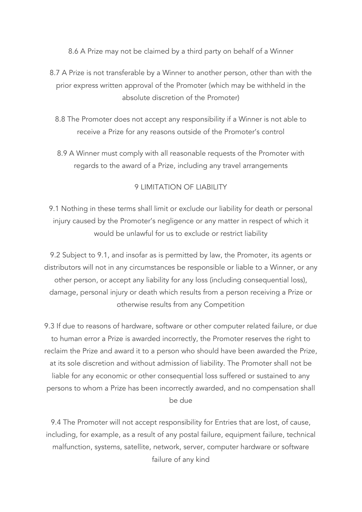8.6 A Prize may not be claimed by a third party on behalf of a Winner

- 8.7 A Prize is not transferable by a Winner to another person, other than with the prior express written approval of the Promoter (which may be withheld in the absolute discretion of the Promoter)
	- 8.8 The Promoter does not accept any responsibility if a Winner is not able to receive a Prize for any reasons outside of the Promoter's control
	- 8.9 A Winner must comply with all reasonable requests of the Promoter with regards to the award of a Prize, including any travel arrangements

## 9 LIMITATION OF LIABILITY

9.1 Nothing in these terms shall limit or exclude our liability for death or personal injury caused by the Promoter's negligence or any matter in respect of which it would be unlawful for us to exclude or restrict liability

9.2 Subject to 9.1, and insofar as is permitted by law, the Promoter, its agents or distributors will not in any circumstances be responsible or liable to a Winner, or any other person, or accept any liability for any loss (including consequential loss), damage, personal injury or death which results from a person receiving a Prize or otherwise results from any Competition

9.3 If due to reasons of hardware, software or other computer related failure, or due to human error a Prize is awarded incorrectly, the Promoter reserves the right to reclaim the Prize and award it to a person who should have been awarded the Prize, at its sole discretion and without admission of liability. The Promoter shall not be liable for any economic or other consequential loss suffered or sustained to any persons to whom a Prize has been incorrectly awarded, and no compensation shall be due

9.4 The Promoter will not accept responsibility for Entries that are lost, of cause, including, for example, as a result of any postal failure, equipment failure, technical malfunction, systems, satellite, network, server, computer hardware or software failure of any kind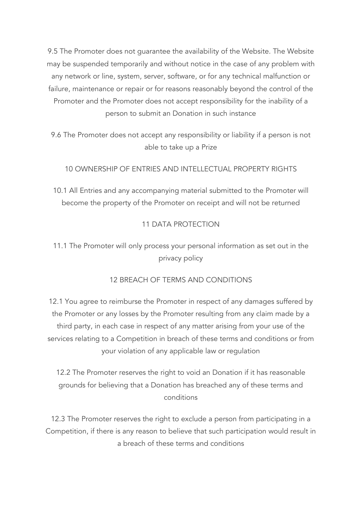9.5 The Promoter does not guarantee the availability of the Website. The Website may be suspended temporarily and without notice in the case of any problem with any network or line, system, server, software, or for any technical malfunction or failure, maintenance or repair or for reasons reasonably beyond the control of the Promoter and the Promoter does not accept responsibility for the inability of a person to submit an Donation in such instance

9.6 The Promoter does not accept any responsibility or liability if a person is not able to take up a Prize

10 OWNERSHIP OF ENTRIES AND INTELLECTUAL PROPERTY RIGHTS

10.1 All Entries and any accompanying material submitted to the Promoter will become the property of the Promoter on receipt and will not be returned

## 11 DATA PROTECTION

# 11.1 The Promoter will only process your personal information as set out in the privacy policy

## 12 BREACH OF TERMS AND CONDITIONS

12.1 You agree to reimburse the Promoter in respect of any damages suffered by the Promoter or any losses by the Promoter resulting from any claim made by a third party, in each case in respect of any matter arising from your use of the services relating to a Competition in breach of these terms and conditions or from your violation of any applicable law or regulation

12.2 The Promoter reserves the right to void an Donation if it has reasonable grounds for believing that a Donation has breached any of these terms and conditions

12.3 The Promoter reserves the right to exclude a person from participating in a Competition, if there is any reason to believe that such participation would result in a breach of these terms and conditions